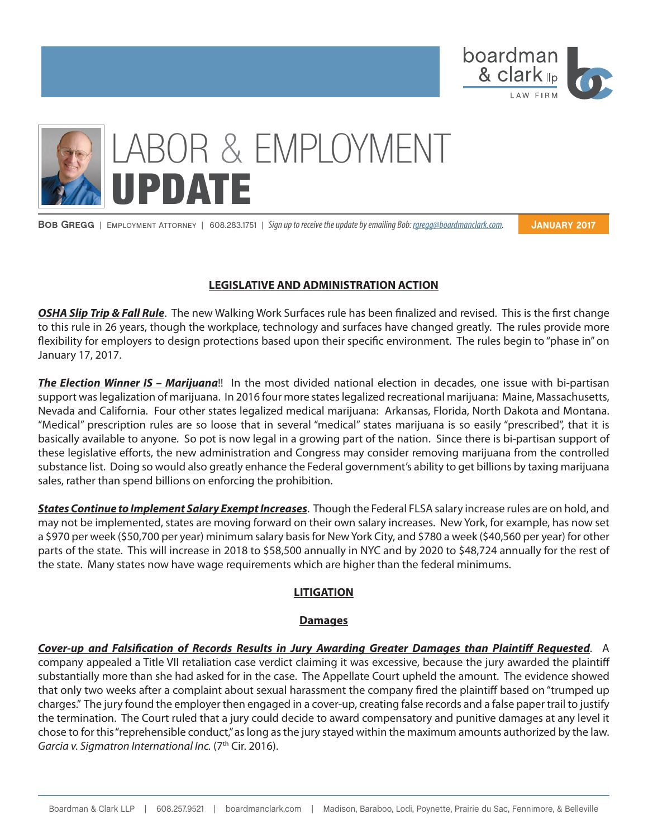

# LABOR & EMPLOYMENT **UPDATE**

**Bob Gregg** | Employment Attorney | 608.283.1751 | *Sign up to receive the update by emailing Bob: rgregg@boardmanclark.com.*

**January 2017**

### **LEGISLATIVE AND ADMINISTRATION ACTION**

*OSHA Slip Trip & Fall Rule*. The new Walking Work Surfaces rule has been finalized and revised. This is the first change to this rule in 26 years, though the workplace, technology and surfaces have changed greatly. The rules provide more flexibility for employers to design protections based upon their specific environment. The rules begin to "phase in" on January 17, 2017.

*The Election Winner IS – Marijuana*!! In the most divided national election in decades, one issue with bi-partisan support was legalization of marijuana. In 2016 four more states legalized recreational marijuana: Maine, Massachusetts, Nevada and California. Four other states legalized medical marijuana: Arkansas, Florida, North Dakota and Montana. "Medical" prescription rules are so loose that in several "medical" states marijuana is so easily "prescribed", that it is basically available to anyone. So pot is now legal in a growing part of the nation. Since there is bi-partisan support of these legislative efforts, the new administration and Congress may consider removing marijuana from the controlled substance list. Doing so would also greatly enhance the Federal government's ability to get billions by taxing marijuana sales, rather than spend billions on enforcing the prohibition.

*States Continue to Implement Salary Exempt Increases*. Though the Federal FLSA salary increase rules are on hold, and may not be implemented, states are moving forward on their own salary increases. New York, for example, has now set a \$970 per week (\$50,700 per year) minimum salary basis for New York City, and \$780 a week (\$40,560 per year) for other parts of the state. This will increase in 2018 to \$58,500 annually in NYC and by 2020 to \$48,724 annually for the rest of the state. Many states now have wage requirements which are higher than the federal minimums.

# **LITIGATION**

#### **Damages**

*Cover-up and Falsification of Records Results in Jury Awarding Greater Damages than Plaintiff Requested*. A company appealed a Title VII retaliation case verdict claiming it was excessive, because the jury awarded the plaintiff substantially more than she had asked for in the case. The Appellate Court upheld the amount. The evidence showed that only two weeks after a complaint about sexual harassment the company fired the plaintiff based on "trumped up charges." The jury found the employer then engaged in a cover-up, creating false records and a false paper trail to justify the termination. The Court ruled that a jury could decide to award compensatory and punitive damages at any level it chose to for this "reprehensible conduct," as long as the jury stayed within the maximum amounts authorized by the law. Garcia v. Sigmatron International Inc. (7<sup>th</sup> Cir. 2016).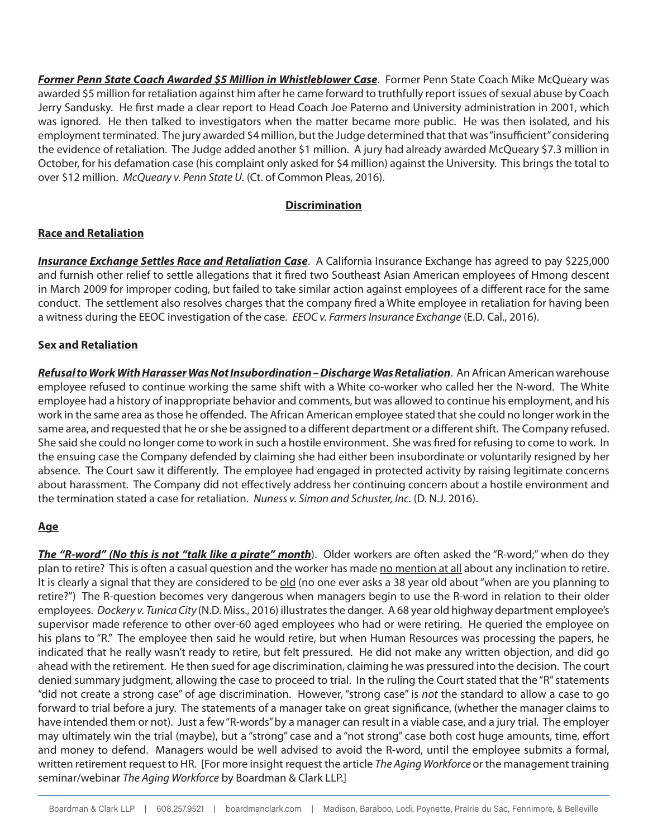*Former Penn State Coach Awarded \$5 Million in Whistleblower Case*. Former Penn State Coach Mike McQueary was awarded \$5 million for retaliation against him after he came forward to truthfully report issues of sexual abuse by Coach Jerry Sandusky. He first made a clear report to Head Coach Joe Paterno and University administration in 2001, which was ignored. He then talked to investigators when the matter became more public. He was then isolated, and his employment terminated. The jury awarded \$4 million, but the Judge determined that that was "insufficient" considering the evidence of retaliation. The Judge added another \$1 million. A jury had already awarded McQueary \$7.3 million in October, for his defamation case (his complaint only asked for \$4 million) against the University. This brings the total to over \$12 million. *McQueary v. Penn State U.* (Ct. of Common Pleas, 2016).

## **Discrimination**

# **Race and Retaliation**

*Insurance Exchange Settles Race and Retaliation Case*. A California Insurance Exchange has agreed to pay \$225,000 and furnish other relief to settle allegations that it fired two Southeast Asian American employees of Hmong descent in March 2009 for improper coding, but failed to take similar action against employees of a different race for the same conduct. The settlement also resolves charges that the company fired a White employee in retaliation for having been a witness during the EEOC investigation of the case. *EEOC v. Farmers Insurance Exchange* (E.D. Cal., 2016).

#### **Sex and Retaliation**

*Refusal to Work With Harasser Was Not Insubordination – Discharge Was Retaliation*. An African American warehouse employee refused to continue working the same shift with a White co-worker who called her the N-word. The White employee had a history of inappropriate behavior and comments, but was allowed to continue his employment, and his work in the same area as those he offended. The African American employee stated that she could no longer work in the same area, and requested that he or she be assigned to a different department or a different shift. The Company refused. She said she could no longer come to work in such a hostile environment. She was fired for refusing to come to work. In the ensuing case the Company defended by claiming she had either been insubordinate or voluntarily resigned by her absence. The Court saw it differently. The employee had engaged in protected activity by raising legitimate concerns about harassment. The Company did not effectively address her continuing concern about a hostile environment and the termination stated a case for retaliation. *Nuness v. Simon and Schuster, Inc.* (D. N.J. 2016).

# **Age**

*The "R-word" (No this is not "talk like a pirate" month*). Older workers are often asked the "R-word;" when do they plan to retire? This is often a casual question and the worker has made no mention at all about any inclination to retire. It is clearly a signal that they are considered to be old (no one ever asks a 38 year old about "when are you planning to retire?") The R-question becomes very dangerous when managers begin to use the R-word in relation to their older employees. *Dockery v. Tunica City* (N.D. Miss., 2016) illustrates the danger. A 68 year old highway department employee's supervisor made reference to other over-60 aged employees who had or were retiring. He queried the employee on his plans to "R." The employee then said he would retire, but when Human Resources was processing the papers, he indicated that he really wasn't ready to retire, but felt pressured. He did not make any written objection, and did go ahead with the retirement. He then sued for age discrimination, claiming he was pressured into the decision. The court denied summary judgment, allowing the case to proceed to trial. In the ruling the Court stated that the "R" statements "did not create a strong case" of age discrimination. However, "strong case" is *not* the standard to allow a case to go forward to trial before a jury. The statements of a manager take on great significance, (whether the manager claims to have intended them or not). Just a few "R-words" by a manager can result in a viable case, and a jury trial. The employer may ultimately win the trial (maybe), but a "strong" case and a "not strong" case both cost huge amounts, time, effort and money to defend. Managers would be well advised to avoid the R-word, until the employee submits a formal, written retirement request to HR. [For more insight request the article *The Aging Workforce* or the management training seminar/webinar *The Aging Workforce* by Boardman & Clark LLP.]